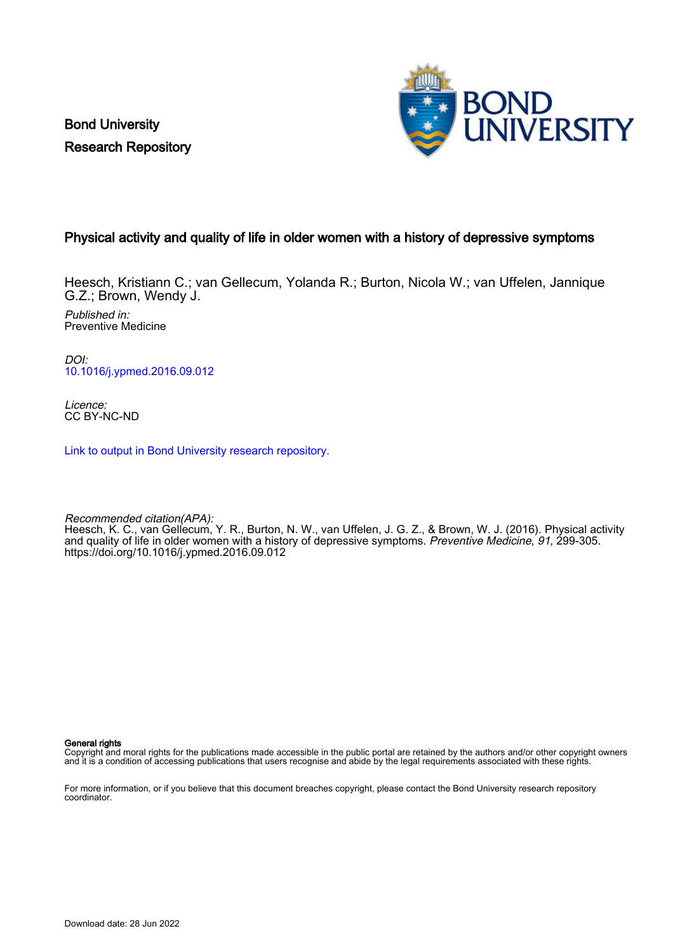Bond University Research Repository



### Physical activity and quality of life in older women with a history of depressive symptoms

Heesch, Kristiann C.; van Gellecum, Yolanda R.; Burton, Nicola W.; van Uffelen, Jannique G.Z.; Brown, Wendy J.

Published in: Preventive Medicine

DOI: [10.1016/j.ypmed.2016.09.012](https://doi.org/10.1016/j.ypmed.2016.09.012)

Licence: CC BY-NC-ND

[Link to output in Bond University research repository.](https://research.bond.edu.au/en/publications/646ae590-f77a-4de4-8a48-a3c5023df204)

Recommended citation(APA):

Heesch, K. C., van Gellecum, Y. R., Burton, N. W., van Uffelen, J. G. Z., & Brown, W. J. (2016). Physical activity and quality of life in older women with a history of depressive symptoms. Preventive Medicine, 91, 299-305. <https://doi.org/10.1016/j.ypmed.2016.09.012>

General rights

Copyright and moral rights for the publications made accessible in the public portal are retained by the authors and/or other copyright owners and it is a condition of accessing publications that users recognise and abide by the legal requirements associated with these rights.

For more information, or if you believe that this document breaches copyright, please contact the Bond University research repository coordinator.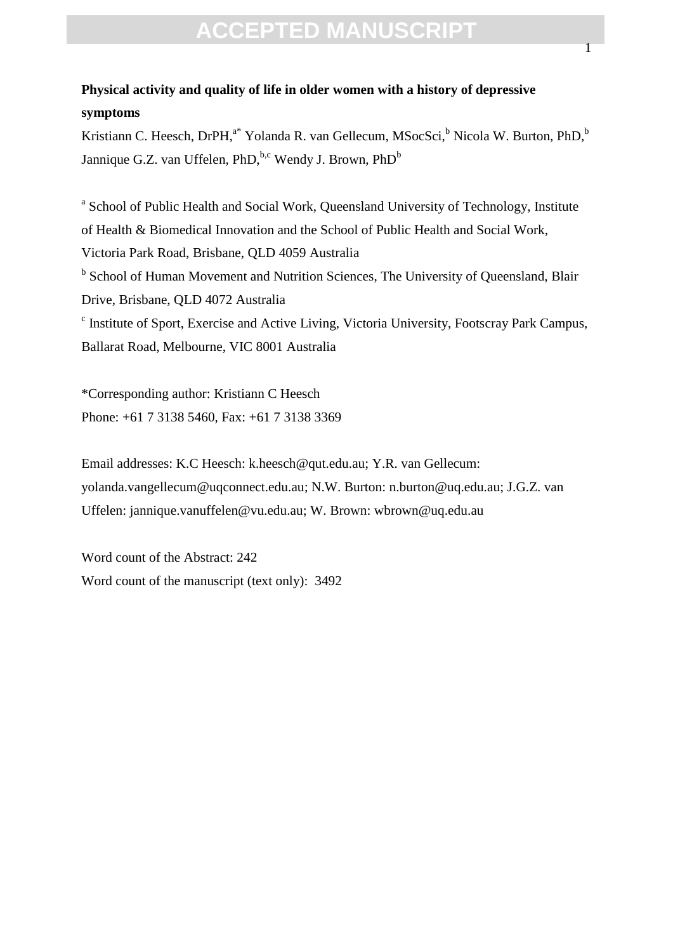### **Physical activity and quality of life in older women with a history of depressive symptoms**

Kristiann C. Heesch, DrPH,<sup>a\*</sup> Yolanda R. van Gellecum, MSocSci,<sup>b</sup> Nicola W. Burton, PhD,<sup>b</sup> Jannique G.Z. van Uffelen, PhD,  $b, c$  Wendy J. Brown, PhD<sup>b</sup>

<sup>a</sup> School of Public Health and Social Work, Queensland University of Technology, Institute of Health & Biomedical Innovation and the School of Public Health and Social Work, Victoria Park Road, Brisbane, QLD 4059 Australia <sup>b</sup> School of Human Movement and Nutrition Sciences, The University of Queensland, Blair Drive, Brisbane, QLD 4072 Australia <sup>c</sup> Institute of Sport, Exercise and Active Living, Victoria University, Footscray Park Campus, Ballarat Road, Melbourne, VIC 8001 Australia

\*Corresponding author: Kristiann C Heesch Phone: +61 7 3138 5460, Fax: +61 7 3138 3369

Email addresses: K.C Heesch: k.heesch@qut.edu.au; Y.R. van Gellecum: yolanda.vangellecum@uqconnect.edu.au; N.W. Burton: n.burton@uq.edu.au; J.G.Z. van Uffelen: jannique.vanuffelen@vu.edu.au; W. Brown: wbrown@uq.edu.au

Word count of the Abstract: 242 Word count of the manuscript (text only): 3492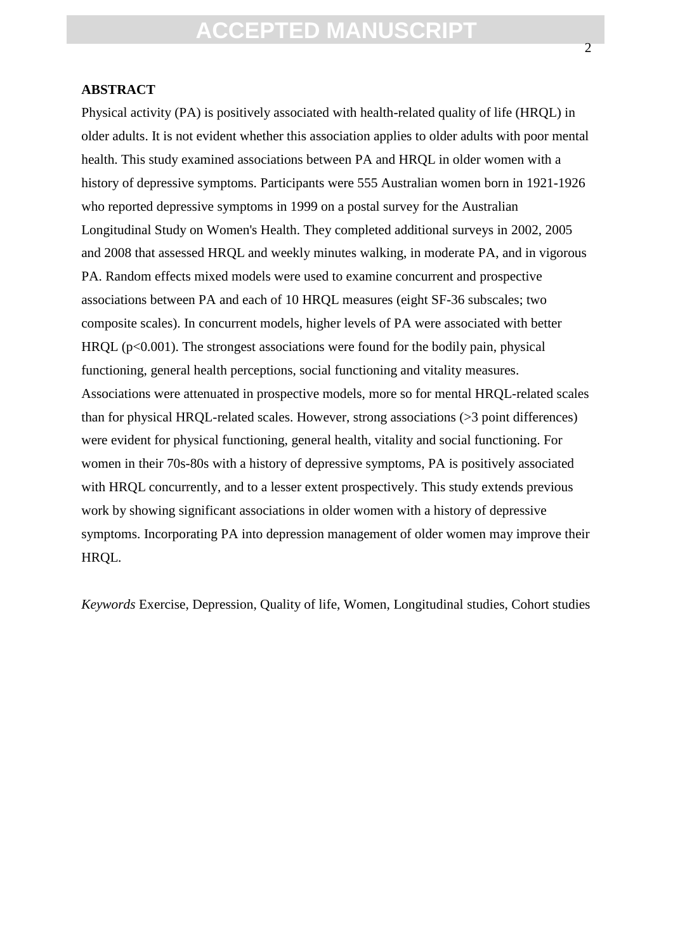### **ABSTRACT**

Physical activity (PA) is positively associated with health-related quality of life (HRQL) in older adults. It is not evident whether this association applies to older adults with poor mental health. This study examined associations between PA and HRQL in older women with a history of depressive symptoms. Participants were 555 Australian women born in 1921-1926 who reported depressive symptoms in 1999 on a postal survey for the Australian Longitudinal Study on Women's Health. They completed additional surveys in 2002, 2005 and 2008 that assessed HRQL and weekly minutes walking, in moderate PA, and in vigorous PA. Random effects mixed models were used to examine concurrent and prospective associations between PA and each of 10 HRQL measures (eight SF-36 subscales; two composite scales). In concurrent models, higher levels of PA were associated with better  $HRQL (p<0.001)$ . The strongest associations were found for the bodily pain, physical functioning, general health perceptions, social functioning and vitality measures. Associations were attenuated in prospective models, more so for mental HRQL-related scales than for physical HRQL-related scales. However, strong associations (>3 point differences) were evident for physical functioning, general health, vitality and social functioning. For women in their 70s-80s with a history of depressive symptoms, PA is positively associated with HRQL concurrently, and to a lesser extent prospectively. This study extends previous work by showing significant associations in older women with a history of depressive symptoms. Incorporating PA into depression management of older women may improve their HRQL.

*Keywords* Exercise, Depression, Quality of life, Women, Longitudinal studies, Cohort studies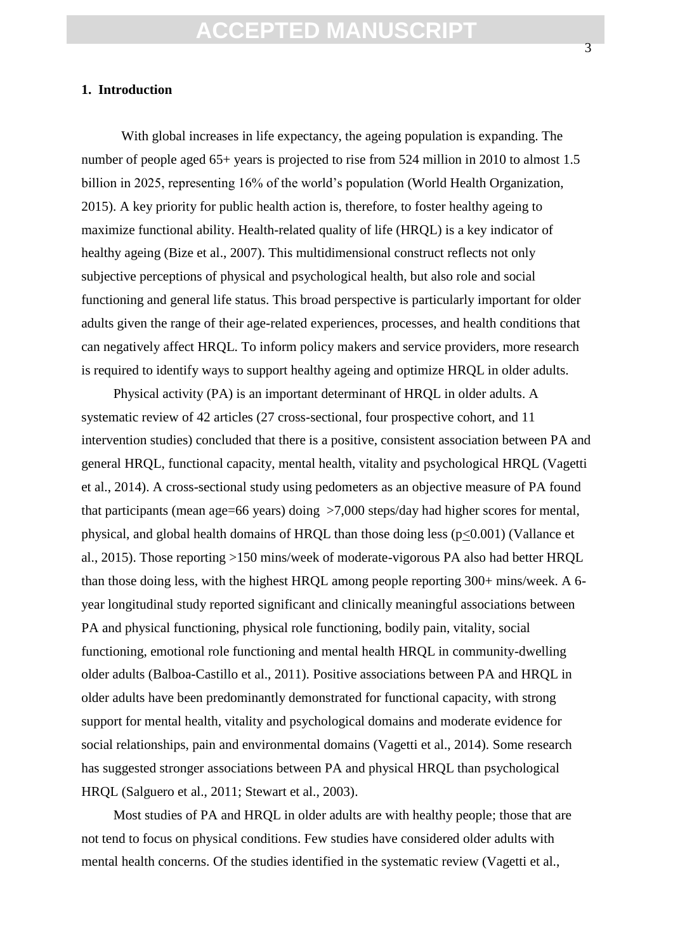### **1. Introduction**

With global increases in life expectancy, the ageing population is expanding. The number of people aged 65+ years is projected to rise from 524 million in 2010 to almost 1.5 billion in 2025, representing 16% of the world's population (World Health Organization, 2015). A key priority for public health action is, therefore, to foster healthy ageing to maximize functional ability. Health-related quality of life (HRQL) is a key indicator of healthy ageing (Bize et al., 2007). This multidimensional construct reflects not only subjective perceptions of physical and psychological health, but also role and social functioning and general life status. This broad perspective is particularly important for older adults given the range of their age-related experiences, processes, and health conditions that can negatively affect HRQL. To inform policy makers and service providers, more research is required to identify ways to support healthy ageing and optimize HRQL in older adults.

Physical activity (PA) is an important determinant of HRQL in older adults. A systematic review of 42 articles (27 cross-sectional, four prospective cohort, and 11 intervention studies) concluded that there is a positive, consistent association between PA and general HRQL, functional capacity, mental health, vitality and psychological HRQL (Vagetti et al., 2014). A cross-sectional study using pedometers as an objective measure of PA found that participants (mean age=66 years) doing >7,000 steps/day had higher scores for mental, physical, and global health domains of HRQL than those doing less (p<0.001) (Vallance et al., 2015). Those reporting >150 mins/week of moderate-vigorous PA also had better HRQL than those doing less, with the highest HRQL among people reporting 300+ mins/week. A 6 year longitudinal study reported significant and clinically meaningful associations between PA and physical functioning, physical role functioning, bodily pain, vitality, social functioning, emotional role functioning and mental health HRQL in community-dwelling older adults (Balboa-Castillo et al., 2011). Positive associations between PA and HRQL in older adults have been predominantly demonstrated for functional capacity, with strong support for mental health, vitality and psychological domains and moderate evidence for social relationships, pain and environmental domains (Vagetti et al., 2014). Some research has suggested stronger associations between PA and physical HRQL than psychological HRQL (Salguero et al., 2011; Stewart et al., 2003).

Most studies of PA and HRQL in older adults are with healthy people; those that are not tend to focus on physical conditions. Few studies have considered older adults with mental health concerns. Of the studies identified in the systematic review (Vagetti et al.,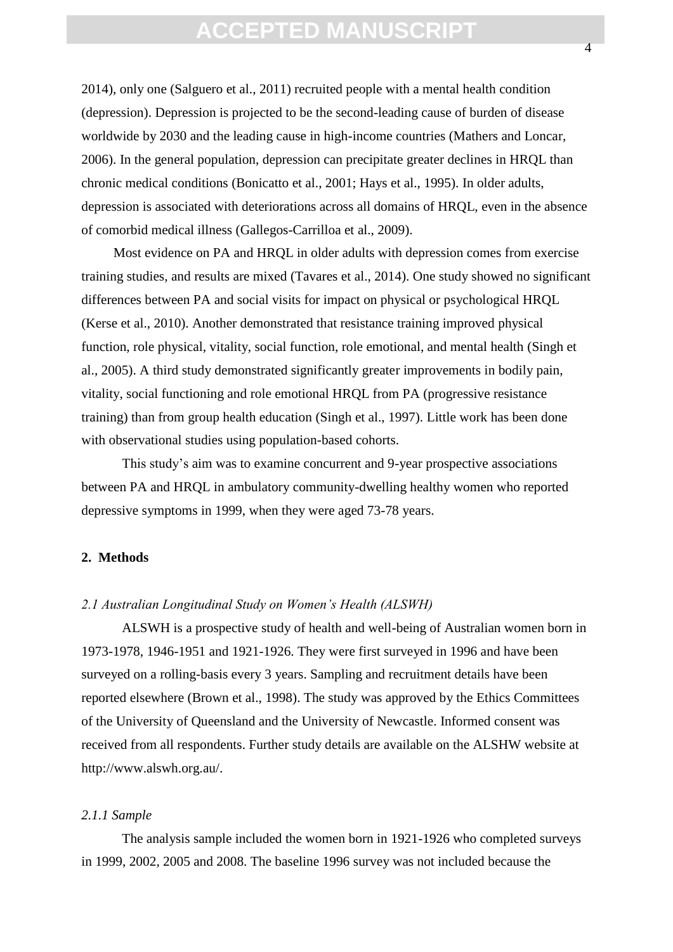2014), only one (Salguero et al., 2011) recruited people with a mental health condition (depression). Depression is projected to be the second-leading cause of burden of disease worldwide by 2030 and the leading cause in high-income countries (Mathers and Loncar, 2006). In the general population, depression can precipitate greater declines in HRQL than chronic medical conditions (Bonicatto et al., 2001; Hays et al., 1995). In older adults, depression is associated with deteriorations across all domains of HRQL, even in the absence of comorbid medical illness (Gallegos-Carrilloa et al., 2009).

Most evidence on PA and HRQL in older adults with depression comes from exercise training studies, and results are mixed (Tavares et al., 2014). One study showed no significant differences between PA and social visits for impact on physical or psychological HRQL (Kerse et al., 2010). Another demonstrated that resistance training improved physical function, role physical, vitality, social function, role emotional, and mental health (Singh et al., 2005). A third study demonstrated significantly greater improvements in bodily pain, vitality, social functioning and role emotional HRQL from PA (progressive resistance training) than from group health education (Singh et al., 1997). Little work has been done with observational studies using population-based cohorts.

This study's aim was to examine concurrent and 9-year prospective associations between PA and HRQL in ambulatory community-dwelling healthy women who reported depressive symptoms in 1999, when they were aged 73-78 years.

### **2. Methods**

#### *2.1 Australian Longitudinal Study on Women's Health (ALSWH)*

ALSWH is a prospective study of health and well-being of Australian women born in 1973-1978, 1946-1951 and 1921-1926. They were first surveyed in 1996 and have been surveyed on a rolling-basis every 3 years. Sampling and recruitment details have been reported elsewhere (Brown et al., 1998). The study was approved by the Ethics Committees of the University of Queensland and the University of Newcastle. Informed consent was received from all respondents. Further study details are available on the ALSHW website at http://www.alswh.org.au/.

#### *2.1.1 Sample*

The analysis sample included the women born in 1921-1926 who completed surveys in 1999, 2002, 2005 and 2008. The baseline 1996 survey was not included because the

4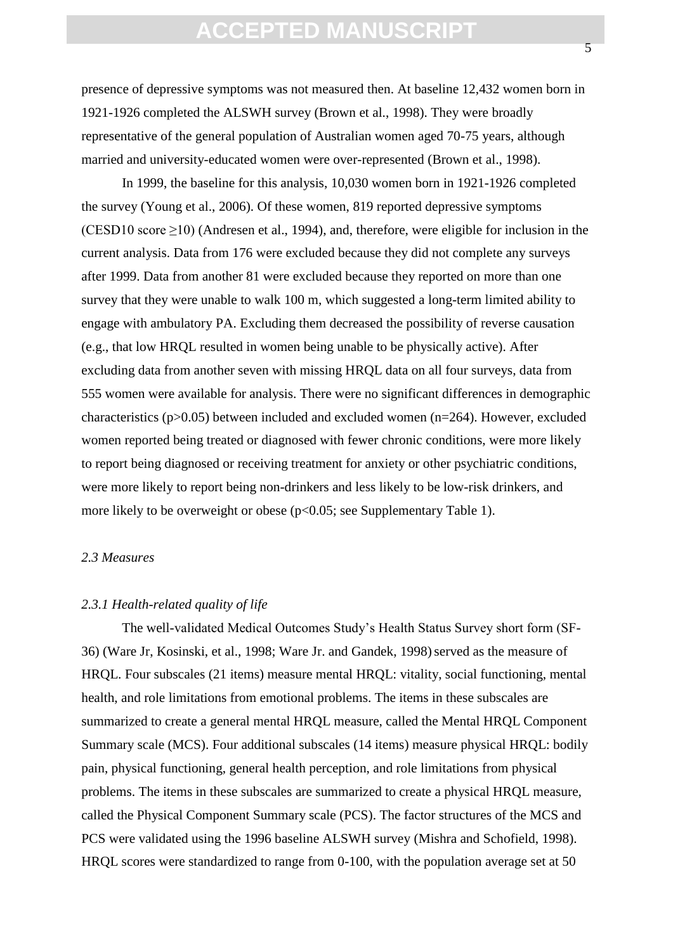presence of depressive symptoms was not measured then. At baseline 12,432 women born in 1921-1926 completed the ALSWH survey (Brown et al., 1998). They were broadly representative of the general population of Australian women aged 70-75 years, although married and university-educated women were over-represented (Brown et al., 1998).

In 1999, the baseline for this analysis, 10,030 women born in 1921-1926 completed the survey (Young et al., 2006). Of these women, 819 reported depressive symptoms (CESD10 score  $\geq$ 10) (Andresen et al., 1994), and, therefore, were eligible for inclusion in the current analysis. Data from 176 were excluded because they did not complete any surveys after 1999. Data from another 81 were excluded because they reported on more than one survey that they were unable to walk 100 m, which suggested a long-term limited ability to engage with ambulatory PA. Excluding them decreased the possibility of reverse causation (e.g., that low HRQL resulted in women being unable to be physically active). After excluding data from another seven with missing HRQL data on all four surveys, data from 555 women were available for analysis. There were no significant differences in demographic characteristics ( $p > 0.05$ ) between included and excluded women ( $n = 264$ ). However, excluded women reported being treated or diagnosed with fewer chronic conditions, were more likely to report being diagnosed or receiving treatment for anxiety or other psychiatric conditions, were more likely to report being non-drinkers and less likely to be low-risk drinkers, and more likely to be overweight or obese ( $p<0.05$ ; see Supplementary Table 1).

### *2.3 Measures*

### *2.3.1 Health-related quality of life*

The well-validated Medical Outcomes Study's Health Status Survey short form (SF-36) (Ware Jr, Kosinski, et al., 1998; Ware Jr. and Gandek, 1998) served as the measure of HRQL. Four subscales (21 items) measure mental HRQL: vitality, social functioning, mental health, and role limitations from emotional problems. The items in these subscales are summarized to create a general mental HRQL measure, called the Mental HRQL Component Summary scale (MCS). Four additional subscales (14 items) measure physical HRQL: bodily pain, physical functioning, general health perception, and role limitations from physical problems. The items in these subscales are summarized to create a physical HRQL measure, called the Physical Component Summary scale (PCS). The factor structures of the MCS and PCS were validated using the 1996 baseline ALSWH survey (Mishra and Schofield, 1998). HRQL scores were standardized to range from 0-100, with the population average set at 50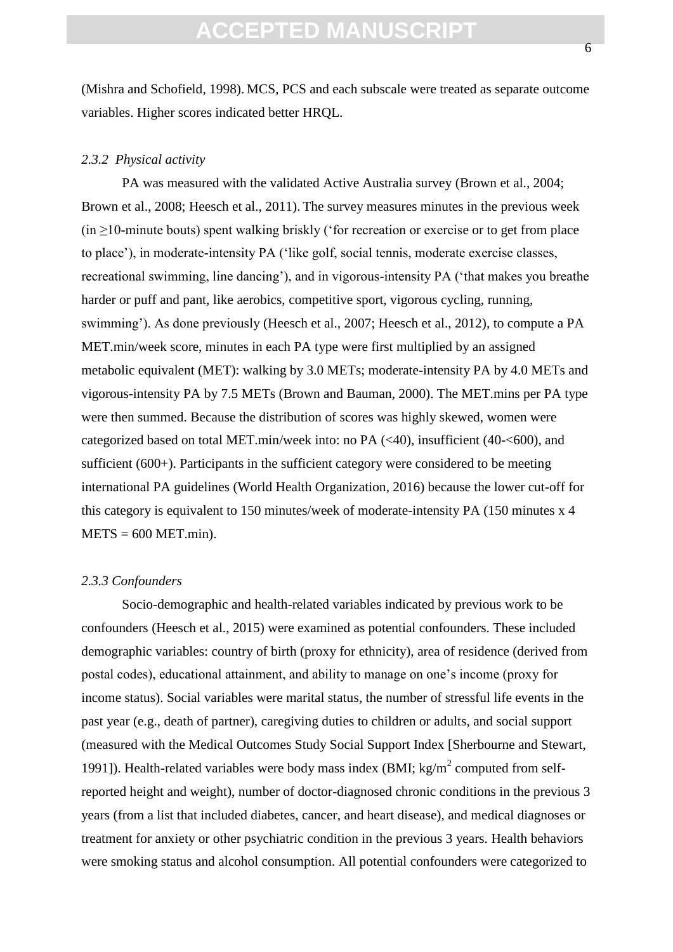(Mishra and Schofield, 1998). MCS, PCS and each subscale were treated as separate outcome variables. Higher scores indicated better HRQL.

#### *2.3.2 Physical activity*

PA was measured with the validated Active Australia survey (Brown et al., 2004; Brown et al., 2008; Heesch et al., 2011). The survey measures minutes in the previous week  $(in \geq 10$ -minute bouts) spent walking briskly ('for recreation or exercise or to get from place to place'), in moderate-intensity PA ('like golf, social tennis, moderate exercise classes, recreational swimming, line dancing'), and in vigorous-intensity PA ('that makes you breathe harder or puff and pant, like aerobics, competitive sport, vigorous cycling, running, swimming'). As done previously (Heesch et al., 2007; Heesch et al., 2012), to compute a PA MET.min/week score, minutes in each PA type were first multiplied by an assigned metabolic equivalent (MET): walking by 3.0 METs; moderate-intensity PA by 4.0 METs and vigorous-intensity PA by 7.5 METs (Brown and Bauman, 2000). The MET.mins per PA type were then summed. Because the distribution of scores was highly skewed, women were categorized based on total MET.min/week into: no PA (<40), insufficient (40-<600), and sufficient (600+). Participants in the sufficient category were considered to be meeting international PA guidelines (World Health Organization, 2016) because the lower cut-off for this category is equivalent to 150 minutes/week of moderate-intensity PA (150 minutes x 4  $METS = 600 MET.min$ .

#### *2.3.3 Confounders*

Socio-demographic and health-related variables indicated by previous work to be confounders (Heesch et al., 2015) were examined as potential confounders. These included demographic variables: country of birth (proxy for ethnicity), area of residence (derived from postal codes), educational attainment, and ability to manage on one's income (proxy for income status). Social variables were marital status, the number of stressful life events in the past year (e.g., death of partner), caregiving duties to children or adults, and social support (measured with the Medical Outcomes Study Social Support Index [Sherbourne and Stewart, 1991]). Health-related variables were body mass index (BMI;  $kg/m<sup>2</sup>$  computed from selfreported height and weight), number of doctor-diagnosed chronic conditions in the previous 3 years (from a list that included diabetes, cancer, and heart disease), and medical diagnoses or treatment for anxiety or other psychiatric condition in the previous 3 years. Health behaviors were smoking status and alcohol consumption. All potential confounders were categorized to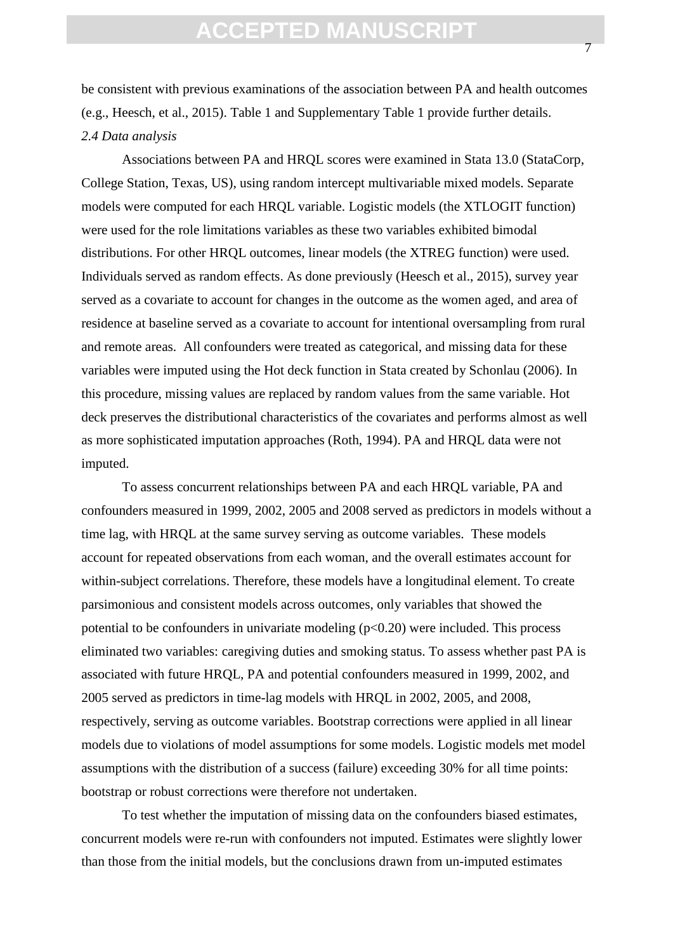be consistent with previous examinations of the association between PA and health outcomes (e.g., Heesch, et al., 2015). Table 1 and Supplementary Table 1 provide further details. *2.4 Data analysis*

Associations between PA and HRQL scores were examined in Stata 13.0 (StataCorp, College Station, Texas, US), using random intercept multivariable mixed models. Separate models were computed for each HRQL variable. Logistic models (the XTLOGIT function) were used for the role limitations variables as these two variables exhibited bimodal distributions. For other HRQL outcomes, linear models (the XTREG function) were used. Individuals served as random effects. As done previously (Heesch et al., 2015), survey year served as a covariate to account for changes in the outcome as the women aged, and area of residence at baseline served as a covariate to account for intentional oversampling from rural and remote areas. All confounders were treated as categorical, and missing data for these variables were imputed using the Hot deck function in Stata created by Schonlau (2006). In this procedure, missing values are replaced by random values from the same variable. Hot deck preserves the distributional characteristics of the covariates and performs almost as well as more sophisticated imputation approaches (Roth, 1994). PA and HRQL data were not imputed.

To assess concurrent relationships between PA and each HRQL variable, PA and confounders measured in 1999, 2002, 2005 and 2008 served as predictors in models without a time lag, with HRQL at the same survey serving as outcome variables. These models account for repeated observations from each woman, and the overall estimates account for within-subject correlations. Therefore, these models have a longitudinal element. To create parsimonious and consistent models across outcomes, only variables that showed the potential to be confounders in univariate modeling  $(p<0.20)$  were included. This process eliminated two variables: caregiving duties and smoking status. To assess whether past PA is associated with future HRQL, PA and potential confounders measured in 1999, 2002, and 2005 served as predictors in time-lag models with HRQL in 2002, 2005, and 2008, respectively, serving as outcome variables. Bootstrap corrections were applied in all linear models due to violations of model assumptions for some models. Logistic models met model assumptions with the distribution of a success (failure) exceeding 30% for all time points: bootstrap or robust corrections were therefore not undertaken.

To test whether the imputation of missing data on the confounders biased estimates, concurrent models were re-run with confounders not imputed. Estimates were slightly lower than those from the initial models, but the conclusions drawn from un-imputed estimates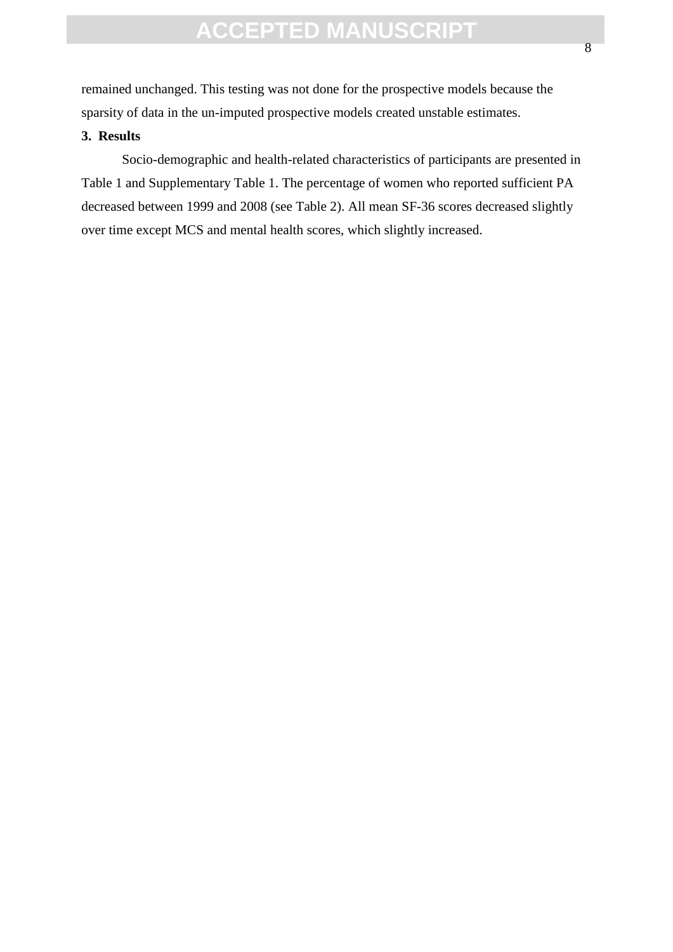remained unchanged. This testing was not done for the prospective models because the sparsity of data in the un-imputed prospective models created unstable estimates.

### **3. Results**

Socio-demographic and health-related characteristics of participants are presented in Table 1 and Supplementary Table 1. The percentage of women who reported sufficient PA decreased between 1999 and 2008 (see Table 2). All mean SF-36 scores decreased slightly over time except MCS and mental health scores, which slightly increased.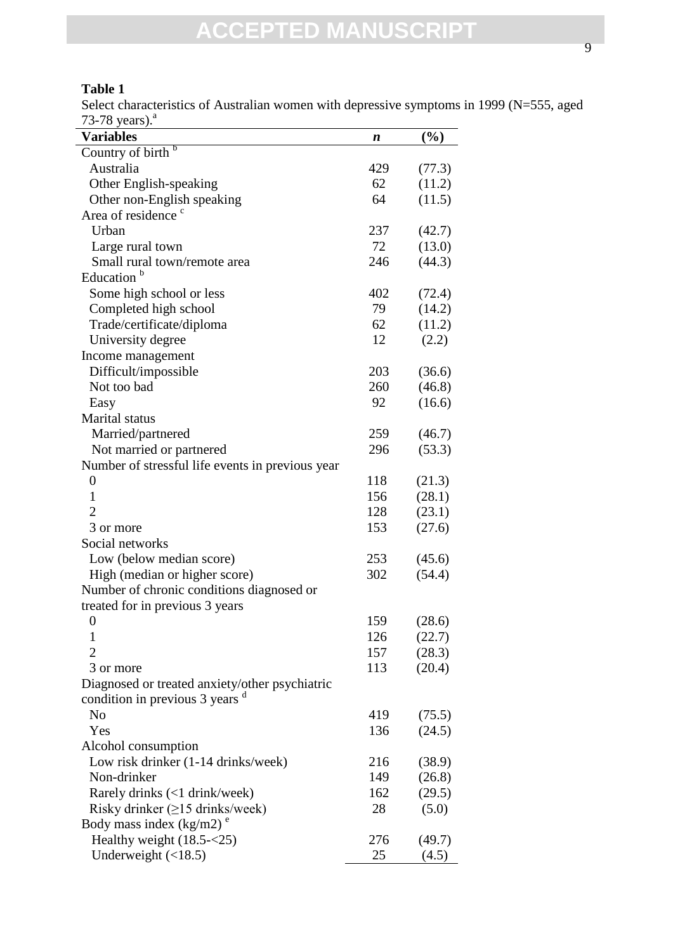Select characteristics of Australian women with depressive symptoms in 1999 (N=555, aged 73-78 years). $a$ 

| $\sim$ $\sim$ $\sim$ $\sim$<br><b>Variables</b>  | n   | (%)    |
|--------------------------------------------------|-----|--------|
| Country of birth $\overline{b}$                  |     |        |
| Australia                                        | 429 | (77.3) |
| Other English-speaking                           | 62  | (11.2) |
| Other non-English speaking                       | 64  | (11.5) |
| Area of residence <sup>c</sup>                   |     |        |
| Urban                                            | 237 |        |
|                                                  | 72  | (42.7) |
| Large rural town                                 |     | (13.0) |
| Small rural town/remote area                     | 246 | (44.3) |
| Education                                        |     |        |
| Some high school or less                         | 402 | (72.4) |
| Completed high school                            | 79  | (14.2) |
| Trade/certificate/diploma                        | 62  | (11.2) |
| University degree                                | 12  | (2.2)  |
| Income management                                |     |        |
| Difficult/impossible                             | 203 | (36.6) |
| Not too bad                                      | 260 | (46.8) |
| Easy                                             | 92  | (16.6) |
| Marital status                                   |     |        |
| Married/partnered                                | 259 | (46.7) |
| Not married or partnered                         | 296 | (53.3) |
| Number of stressful life events in previous year |     |        |
| $\boldsymbol{0}$                                 | 118 | (21.3) |
| 1                                                | 156 | (28.1) |
| 2                                                | 128 | (23.1) |
| 3 or more                                        | 153 | (27.6) |
| Social networks                                  |     |        |
| Low (below median score)                         | 253 | (45.6) |
| High (median or higher score)                    | 302 | (54.4) |
| Number of chronic conditions diagnosed or        |     |        |
| treated for in previous 3 years                  |     |        |
| $\boldsymbol{0}$                                 | 159 | (28.6) |
| 1                                                | 126 | (22.7) |
| $\overline{2}$                                   | 157 | (28.3) |
| 3 or more                                        | 113 | (20.4) |
| Diagnosed or treated anxiety/other psychiatric   |     |        |
| condition in previous 3 years <sup>d</sup>       |     |        |
| N <sub>o</sub>                                   | 419 | (75.5) |
| Yes                                              | 136 | (24.5) |
| Alcohol consumption                              |     |        |
| Low risk drinker (1-14 drinks/week)              | 216 |        |
| Non-drinker                                      | 149 | (38.9) |
|                                                  |     | (26.8) |
| Rarely drinks (<1 drink/week)                    | 162 | (29.5) |
| Risky drinker $(\geq 15$ drinks/week)            | 28  | (5.0)  |
| Body mass index $(kg/m2)^e$                      |     |        |
| Healthy weight (18.5-<25)                        | 276 | (49.7) |
| Underweight $(\langle 18.5)$                     | 25  | (4.5)  |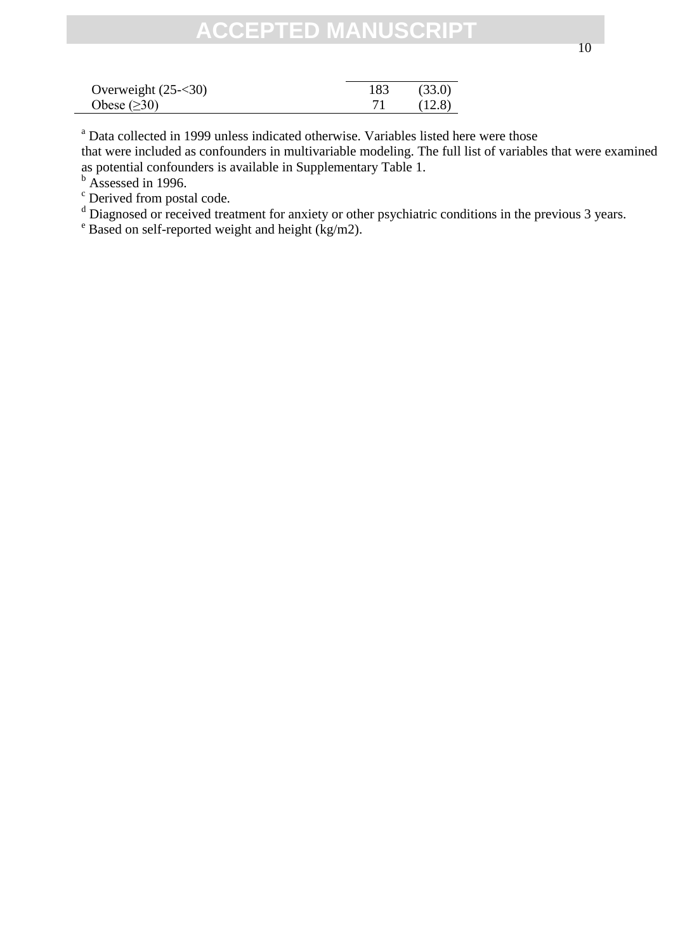<sup>a</sup> Data collected in 1999 unless indicated otherwise. Variables listed here were those that were included as confounders in multivariable modeling. The full list of variables that were examined

as potential confounders is available in Supplementary Table 1.

 $<sup>b</sup>$  Assessed in 1996.</sup>

<sup>c</sup> Derived from postal code.

<sup>d</sup> Diagnosed or received treatment for anxiety or other psychiatric conditions in the previous 3 years.

 $e^e$  Based on self-reported weight and height (kg/m2).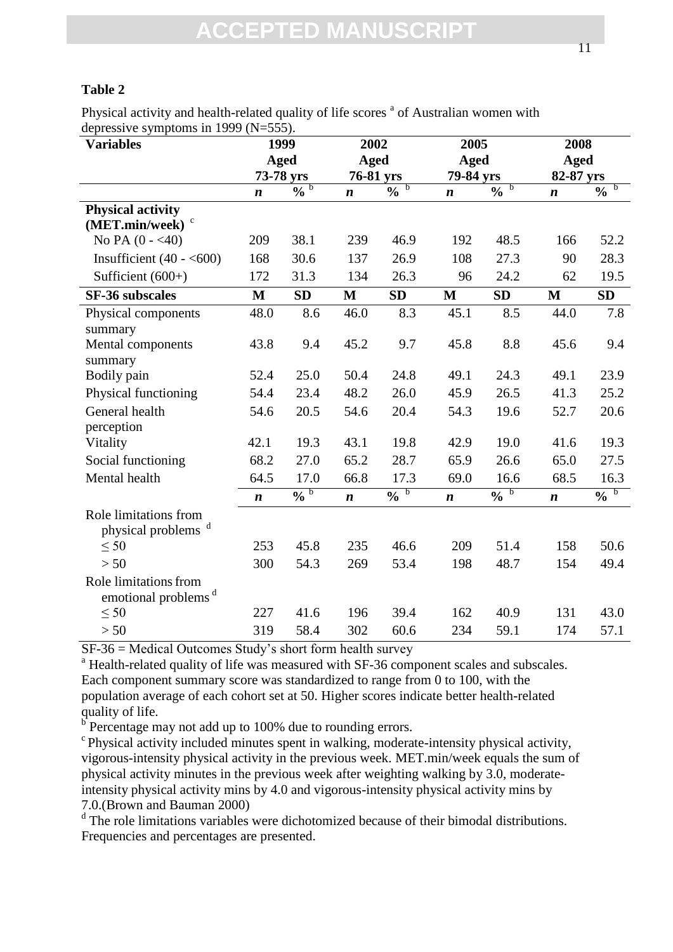### **Table 2**

Physical activity and health-related quality of life scores <sup>a</sup> of Australian women with depressive symptoms in 1999  $(N=555)$ .

| $\alpha$<br><b>Variables</b>                             |                  | 1999                     | 2002             |                                 | 2005             |                                 | 2008<br>Aged     |                              |  |
|----------------------------------------------------------|------------------|--------------------------|------------------|---------------------------------|------------------|---------------------------------|------------------|------------------------------|--|
|                                                          |                  | <b>Aged</b>              | <b>Aged</b>      |                                 | <b>Aged</b>      |                                 |                  |                              |  |
|                                                          | 73-78 yrs        |                          | 76-81 yrs        |                                 | 79-84 yrs        |                                 | 82-87 yrs        |                              |  |
|                                                          | $\boldsymbol{n}$ | $\overline{0}$ b         | $\boldsymbol{n}$ | $\overline{b}$<br>$\frac{0}{0}$ | $\boldsymbol{n}$ | $\overline{b}$<br>$\frac{0}{0}$ | $\boldsymbol{n}$ | $\mathbf b$<br>$\frac{0}{0}$ |  |
| <b>Physical activity</b><br>(MET.min/week)               |                  |                          |                  |                                 |                  |                                 |                  |                              |  |
| No PA $(0 - 40)$                                         | 209              | 38.1                     | 239              | 46.9                            | 192              | 48.5                            | 166              | 52.2                         |  |
| Insufficient $(40 - 600)$                                | 168              | 30.6                     | 137              | 26.9                            | 108              | 27.3                            | 90               | 28.3                         |  |
| Sufficient $(600+)$                                      | 172              | 31.3                     | 134              | 26.3                            | 96               | 24.2                            | 62               | 19.5                         |  |
| <b>SF-36 subscales</b>                                   | $\mathbf{M}$     | <b>SD</b>                | $\mathbf{M}$     | <b>SD</b>                       | $\mathbf{M}$     | <b>SD</b>                       | $\mathbf{M}$     | <b>SD</b>                    |  |
| Physical components<br>summary                           | 48.0             | 8.6                      | 46.0             | 8.3                             | 45.1             | 8.5                             | 44.0             | 7.8                          |  |
| Mental components<br>summary                             | 43.8             | 9.4                      | 45.2             | 9.7                             | 45.8             | 8.8                             | 45.6             | 9.4                          |  |
| Bodily pain                                              | 52.4             | 25.0                     | 50.4             | 24.8                            | 49.1             | 24.3                            | 49.1             | 23.9                         |  |
| Physical functioning                                     | 54.4             | 23.4                     | 48.2             | 26.0                            | 45.9             | 26.5                            | 41.3             | 25.2                         |  |
| General health                                           | 54.6             | 20.5                     | 54.6             | 20.4                            | 54.3             | 19.6                            | 52.7             | 20.6                         |  |
| perception                                               |                  |                          |                  |                                 |                  |                                 |                  |                              |  |
| Vitality                                                 | 42.1             | 19.3                     | 43.1             | 19.8                            | 42.9             | 19.0                            | 41.6             | 19.3                         |  |
| Social functioning                                       | 68.2             | 27.0                     | 65.2             | 28.7                            | 65.9             | 26.6                            | 65.0             | 27.5                         |  |
| Mental health                                            | 64.5             | 17.0                     | 66.8             | 17.3                            | 69.0             | 16.6                            | 68.5             | 16.3                         |  |
|                                                          | $\boldsymbol{n}$ | $\overline{\mathbf{0}'}$ | $\boldsymbol{n}$ | $\overline{0/0}$                | $\boldsymbol{n}$ | $\overline{0}$ b                | $\boldsymbol{n}$ | $\overline{\sqrt[6]{0}}$     |  |
| Role limitations from<br>physical problems <sup>d</sup>  |                  |                          |                  |                                 |                  |                                 |                  |                              |  |
| $\leq 50$                                                | 253              | 45.8                     | 235              | 46.6                            | 209              | 51.4                            | 158              | 50.6                         |  |
| > 50                                                     | 300              | 54.3                     | 269              | 53.4                            | 198              | 48.7                            | 154              | 49.4                         |  |
| Role limitations from<br>emotional problems <sup>d</sup> |                  |                          |                  |                                 |                  |                                 |                  |                              |  |
| $\leq 50$                                                | 227              | 41.6                     | 196              | 39.4                            | 162              | 40.9                            | 131              | 43.0                         |  |
| > 50                                                     | 319              | 58.4                     | 302              | 60.6                            | 234              | 59.1                            | 174              | 57.1                         |  |

SF-36 = Medical Outcomes Study's short form health survey

<sup>a</sup> Health-related quality of life was measured with SF-36 component scales and subscales. Each component summary score was standardized to range from 0 to 100, with the population average of each cohort set at 50. Higher scores indicate better health-related quality of life.

 $\overline{b}$  Percentage may not add up to 100% due to rounding errors.

 $\epsilon$ Physical activity included minutes spent in walking, moderate-intensity physical activity, vigorous-intensity physical activity in the previous week. MET.min/week equals the sum of physical activity minutes in the previous week after weighting walking by 3.0, moderateintensity physical activity mins by 4.0 and vigorous-intensity physical activity mins by 7.0.(Brown and Bauman 2000)

<sup>d</sup> The role limitations variables were dichotomized because of their bimodal distributions. Frequencies and percentages are presented.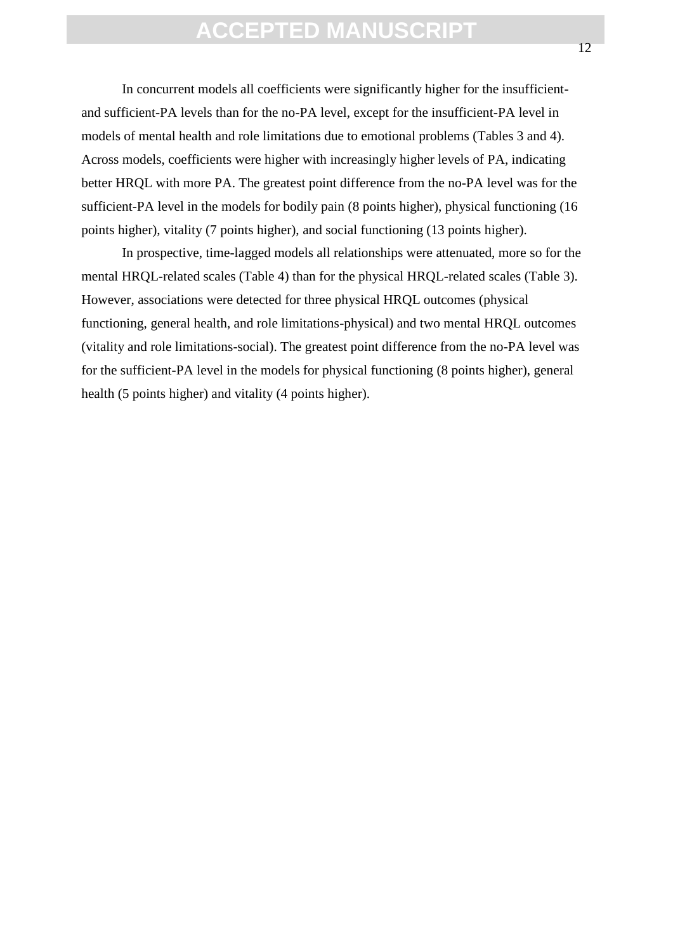In concurrent models all coefficients were significantly higher for the insufficientand sufficient-PA levels than for the no-PA level, except for the insufficient-PA level in models of mental health and role limitations due to emotional problems (Tables 3 and 4). Across models, coefficients were higher with increasingly higher levels of PA, indicating better HRQL with more PA. The greatest point difference from the no-PA level was for the sufficient-PA level in the models for bodily pain (8 points higher), physical functioning (16 points higher), vitality (7 points higher), and social functioning (13 points higher).

In prospective, time-lagged models all relationships were attenuated, more so for the mental HRQL-related scales (Table 4) than for the physical HRQL-related scales (Table 3). However, associations were detected for three physical HRQL outcomes (physical functioning, general health, and role limitations-physical) and two mental HRQL outcomes (vitality and role limitations-social). The greatest point difference from the no-PA level was for the sufficient-PA level in the models for physical functioning (8 points higher), general health (5 points higher) and vitality (4 points higher).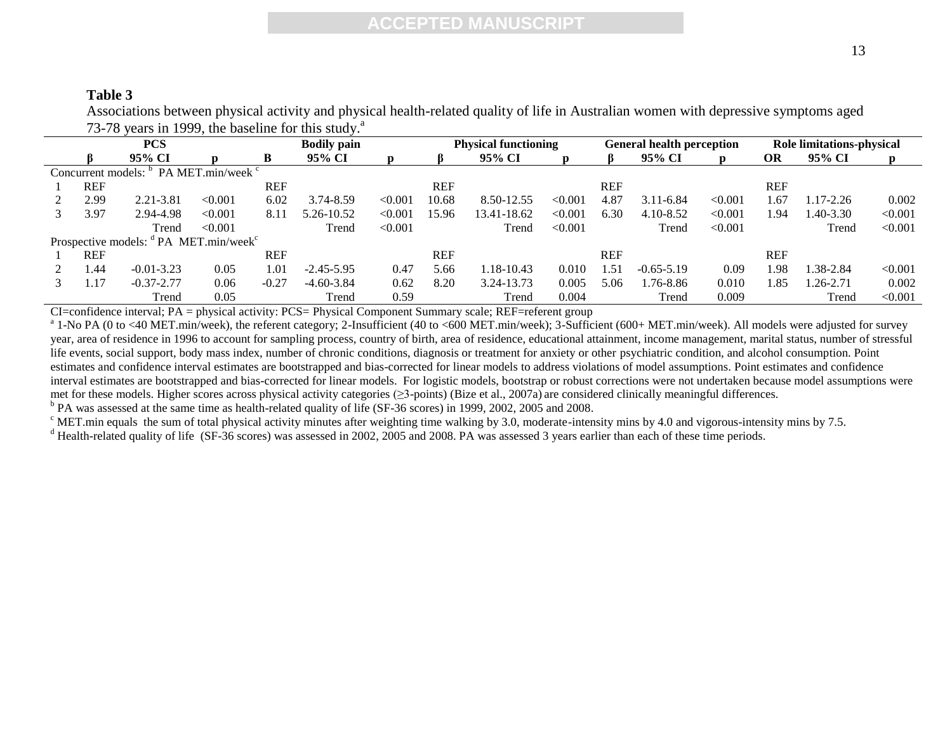### **Table 3**

Associations between physical activity and physical health-related quality of life in Australian women with depressive symptoms aged 73-78 years in 1999, the baseline for this study. $a^2$ 

| <b>PCS</b>                                                    |            |                |         |            | <b>Bodily pain</b> | <b>Physical functioning</b> |            |             |         | <b>General health perception</b> |                | <b>Role limitations-physical</b> |            |              |         |
|---------------------------------------------------------------|------------|----------------|---------|------------|--------------------|-----------------------------|------------|-------------|---------|----------------------------------|----------------|----------------------------------|------------|--------------|---------|
|                                                               |            | 95% CI         | D       | B          | 95% CI             |                             |            | 95% CI      | D       |                                  | 95% CI         |                                  | <b>OR</b>  | 95% CI       | p       |
| Concurrent models: <sup>b</sup> PA MET.min/week <sup>c</sup>  |            |                |         |            |                    |                             |            |             |         |                                  |                |                                  |            |              |         |
|                                                               | <b>REF</b> |                |         | REF        |                    |                             | <b>REF</b> |             |         | <b>REF</b>                       |                |                                  | <b>REF</b> |              |         |
|                                                               | 2.99       | 2.21-3.81      | < 0.001 | 6.02       | 3.74-8.59          | < 0.001                     | 10.68      | 8.50-12.55  | < 0.001 | 4.87                             | $3.11 - 6.84$  | < 0.001                          | 1.67       | $17-2.26$    | 0.002   |
|                                                               | 3.97       | 2.94-4.98      | < 0.001 | 8.11       | 5.26-10.52         | < 0.001                     | 15.96      | 13.41-18.62 | < 0.001 | 6.30                             | $4.10 - 8.52$  | < 0.001                          | 1.94       | $.40 - 3.30$ | < 0.001 |
|                                                               |            | Trend          | < 0.001 |            | Trend              | < 0.001                     |            | Trend       | < 0.001 |                                  | Trend          | < 0.001                          |            | Trend        | < 0.001 |
| Prospective models: <sup>d</sup> PA MET.min/week <sup>c</sup> |            |                |         |            |                    |                             |            |             |         |                                  |                |                                  |            |              |         |
|                                                               | <b>REF</b> |                |         | <b>REF</b> |                    |                             | <b>REF</b> |             |         | <b>REF</b>                       |                |                                  | <b>REF</b> |              |         |
|                                                               | 1.44       | $-0.01 - 3.23$ | 0.05    | 1.01       | $-2.45 - 5.95$     | 0.47                        | 5.66       | 1.18-10.43  | 0.010   | 1.51                             | $-0.65 - 5.19$ | 0.09                             | 1.98       | 1.38-2.84    | < 0.001 |
|                                                               | 1.17       | $-0.37 - 2.77$ | 0.06    | $-0.27$    | $-4.60 - 3.84$     | 0.62                        | 8.20       | 3.24-13.73  | 0.005   | 5.06                             | $.76 - 8.86$   | 0.010                            | 1.85       | $.26 - 2.71$ | 0.002   |
|                                                               |            | Trend          | 0.05    |            | Trend              | 0.59                        |            | Trend       | 0.004   |                                  | Trend          | 0.009                            |            | Trend        | < 0.001 |

CI=confidence interval; PA = physical activity: PCS= Physical Component Summary scale; REF=referent group

 $^{\text{a}}$  1-No PA (0 to <40 MET.min/week), the referent category; 2-Insufficient (40 to <600 MET.min/week); 3-Sufficient (600+ MET.min/week). All models were adjusted for survey year, area of residence in 1996 to account for sampling process, country of birth, area of residence, educational attainment, income management, marital status, number of stressful life events, social support, body mass index, number of chronic conditions, diagnosis or treatment for anxiety or other psychiatric condition, and alcohol consumption. Point estimates and confidence interval estimates are bootstrapped and bias-corrected for linear models to address violations of model assumptions. Point estimates and confidence interval estimates are bootstrapped and bias-corrected for linear models. For logistic models, bootstrap or robust corrections were not undertaken because model assumptions were met for these models. Higher scores across physical activity categories (≥3-points) (Bize et al., 2007a) are considered clinically meaningful differences.

<sup>b</sup> PA was assessed at the same time as health-related quality of life (SF-36 scores) in 1999, 2002, 2005 and 2008.

 $\degree$  MET.min equals the sum of total physical activity minutes after weighting time walking by 3.0, moderate-intensity mins by 4.0 and vigorous-intensity mins by 7.5.

<sup>d</sup> Health-related quality of life (SF-36 scores) was assessed in 2002, 2005 and 2008. PA was assessed 3 years earlier than each of these time periods.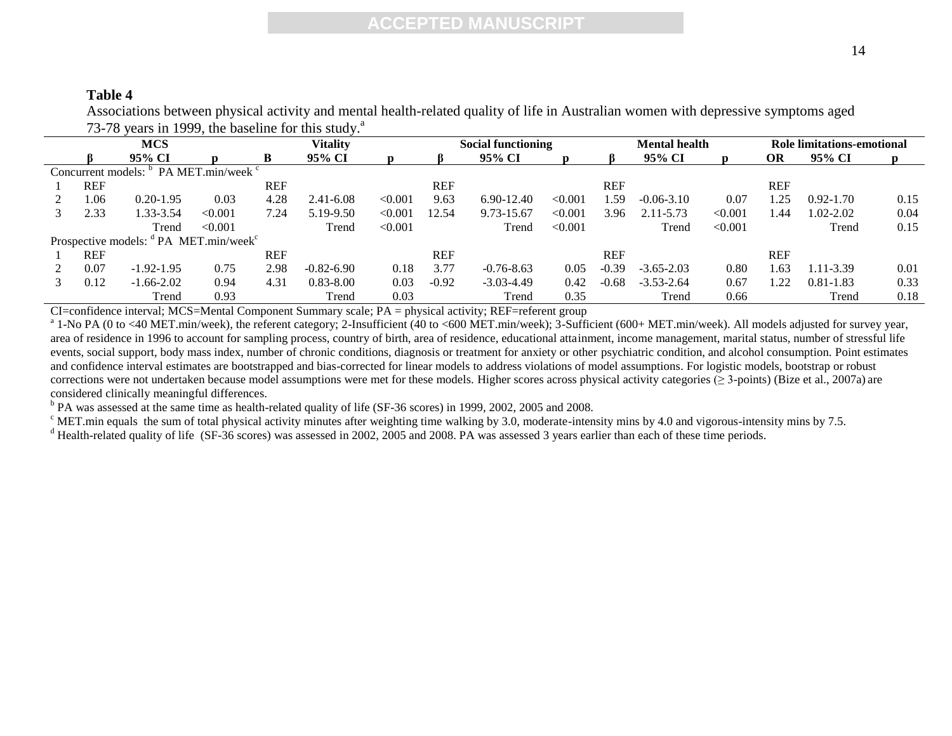### **Table 4**

Associations between physical activity and mental health-related quality of life in Australian women with depressive symptoms aged 73-78 years in 1999, the baseline for this study. $a^a$ 

| <b>MCS</b>                                                    |                                 |                |                        |            | <b>Vitality</b> |         |            | <b>Social functioning</b> |         | <b>Mental health</b> |                | Role limitations-emotional |            |               |      |
|---------------------------------------------------------------|---------------------------------|----------------|------------------------|------------|-----------------|---------|------------|---------------------------|---------|----------------------|----------------|----------------------------|------------|---------------|------|
|                                                               |                                 | 95% CI         |                        | B          | 95% CI          |         |            | 95% CI                    |         | ß.                   | 95% CI         |                            | OR         | 95% CI        | D    |
|                                                               | Concurrent models: <sup>b</sup> |                | $P$ A MET.min/week $C$ |            |                 |         |            |                           |         |                      |                |                            |            |               |      |
|                                                               | <b>REF</b>                      |                |                        | <b>REF</b> |                 |         | <b>REF</b> |                           |         | <b>REF</b>           |                |                            | <b>REF</b> |               |      |
|                                                               | l.06                            | $0.20 - 1.95$  | 0.03                   | 4.28       | 2.41-6.08       | < 0.001 | 9.63       | $6.90 - 12.40$            | < 0.001 | .59                  | $-0.06 - 3.10$ | 0.07                       | .25        | $0.92 - 1.70$ | 0.15 |
|                                                               | 2.33                            | 1.33-3.54      | < 0.001                | 7.24       | 5.19-9.50       | < 0.001 | 12.54      | 9.73-15.67                | < 0.001 | 3.96                 | $2.11 - 5.73$  | < 0.001                    | .44        | 1.02-2.02     | 0.04 |
|                                                               |                                 | Trend          | < 0.001                |            | Trend           | < 0.001 |            | Trend                     | < 0.001 |                      | Trend          | < 0.001                    |            | Trend         | 0.15 |
| Prospective models: <sup>d</sup> PA MET.min/week <sup>c</sup> |                                 |                |                        |            |                 |         |            |                           |         |                      |                |                            |            |               |      |
|                                                               | <b>REF</b>                      |                |                        | <b>REF</b> |                 |         | <b>REF</b> |                           |         | <b>REF</b>           |                |                            | <b>REF</b> |               |      |
|                                                               | 0.07                            | $-1.92 - 1.95$ | 0.75                   | 2.98       | $-0.82 - 6.90$  | 0.18    | 3.77       | $-0.76 - 8.63$            | 0.05    | $-0.39$              | $-3.65 - 2.03$ | 0.80                       | .63        | 1.11-3.39     | 0.01 |
|                                                               | 0.12                            | $-1.66 - 2.02$ | 0.94                   | 4.31       | $0.83 - 8.00$   | 0.03    | $-0.92$    | $-3.03 - 4.49$            | 0.42    | $-0.68$              | $-3.53 - 2.64$ | 0.67                       | . 22       | $0.81 - 1.83$ | 0.33 |
|                                                               |                                 | Trend          | 0.93                   |            | Trend           | 0.03    |            | Trend                     | 0.35    |                      | Trend          | 0.66                       |            | Trend         | 0.18 |

CI=confidence interval; MCS=Mental Component Summary scale; PA = physical activity; REF=referent group

 $^a$  1-No PA (0 to <40 MET.min/week), the referent category; 2-Insufficient (40 to <600 MET.min/week); 3-Sufficient (600+ MET.min/week). All models adjusted for survey year, area of residence in 1996 to account for sampling process, country of birth, area of residence, educational attainment, income management, marital status, number of stressful life events, social support, body mass index, number of chronic conditions, diagnosis or treatment for anxiety or other psychiatric condition, and alcohol consumption. Point estimates and confidence interval estimates are bootstrapped and bias-corrected for linear models to address violations of model assumptions. For logistic models, bootstrap or robust corrections were not undertaken because model assumptions were met for these models. Higher scores across physical activity categories ( $\geq$  3-points) (Bize et al., 2007a) are considered clinically meaningful differences.

<sup>b</sup> PA was assessed at the same time as health-related quality of life (SF-36 scores) in 1999, 2002, 2005 and 2008.

 $\degree$  MET.min equals the sum of total physical activity minutes after weighting time walking by 3.0, moderate-intensity mins by 4.0 and vigorous-intensity mins by 7.5.

<sup>d</sup> Health-related quality of life (SF-36 scores) was assessed in 2002, 2005 and 2008. PA was assessed 3 years earlier than each of these time periods.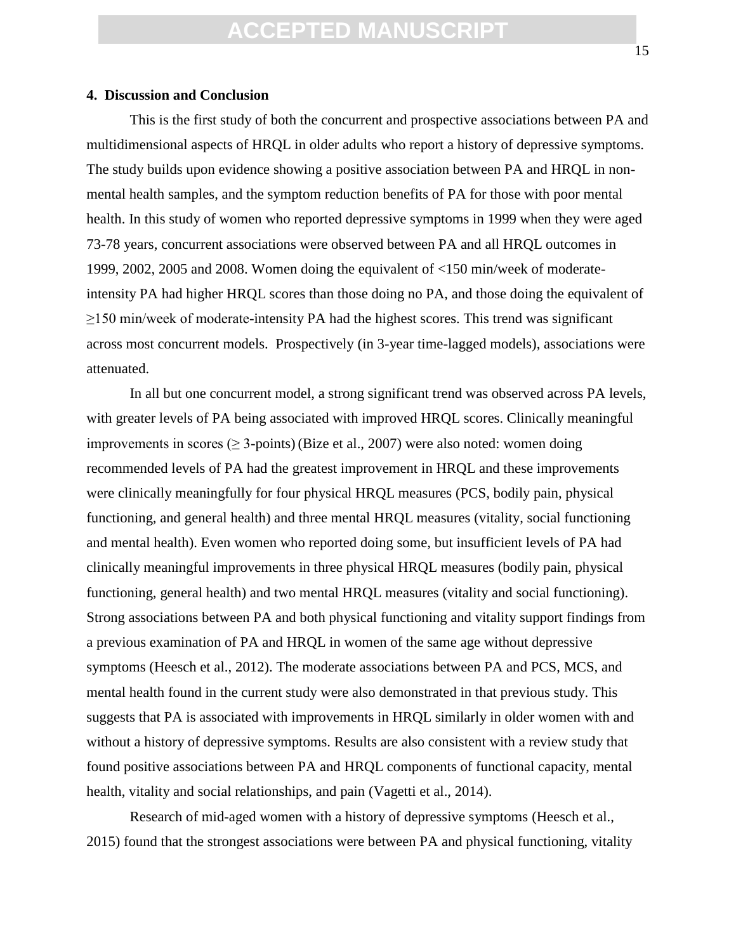#### **4. Discussion and Conclusion**

This is the first study of both the concurrent and prospective associations between PA and multidimensional aspects of HRQL in older adults who report a history of depressive symptoms. The study builds upon evidence showing a positive association between PA and HRQL in nonmental health samples, and the symptom reduction benefits of PA for those with poor mental health. In this study of women who reported depressive symptoms in 1999 when they were aged 73-78 years, concurrent associations were observed between PA and all HRQL outcomes in 1999, 2002, 2005 and 2008. Women doing the equivalent of <150 min/week of moderateintensity PA had higher HRQL scores than those doing no PA, and those doing the equivalent of ≥150 min/week of moderate-intensity PA had the highest scores. This trend was significant across most concurrent models. Prospectively (in 3-year time-lagged models), associations were attenuated.

In all but one concurrent model, a strong significant trend was observed across PA levels, with greater levels of PA being associated with improved HRQL scores. Clinically meaningful improvements in scores ( $\geq$  3-points) (Bize et al., 2007) were also noted: women doing recommended levels of PA had the greatest improvement in HRQL and these improvements were clinically meaningfully for four physical HRQL measures (PCS, bodily pain, physical functioning, and general health) and three mental HRQL measures (vitality, social functioning and mental health). Even women who reported doing some, but insufficient levels of PA had clinically meaningful improvements in three physical HRQL measures (bodily pain, physical functioning, general health) and two mental HRQL measures (vitality and social functioning). Strong associations between PA and both physical functioning and vitality support findings from a previous examination of PA and HRQL in women of the same age without depressive symptoms (Heesch et al., 2012). The moderate associations between PA and PCS, MCS, and mental health found in the current study were also demonstrated in that previous study. This suggests that PA is associated with improvements in HRQL similarly in older women with and without a history of depressive symptoms. Results are also consistent with a review study that found positive associations between PA and HRQL components of functional capacity, mental health, vitality and social relationships, and pain (Vagetti et al., 2014).

Research of mid-aged women with a history of depressive symptoms (Heesch et al., 2015) found that the strongest associations were between PA and physical functioning, vitality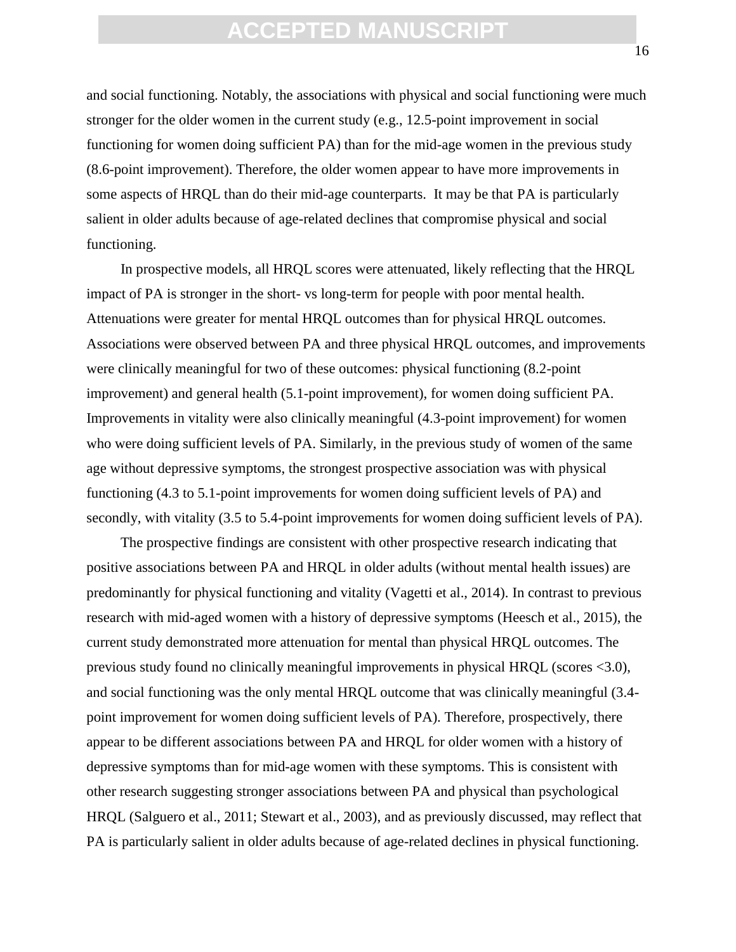and social functioning. Notably, the associations with physical and social functioning were much stronger for the older women in the current study (e.g., 12.5-point improvement in social functioning for women doing sufficient PA) than for the mid-age women in the previous study (8.6-point improvement). Therefore, the older women appear to have more improvements in some aspects of HRQL than do their mid-age counterparts. It may be that PA is particularly salient in older adults because of age-related declines that compromise physical and social functioning.

In prospective models, all HRQL scores were attenuated, likely reflecting that the HRQL impact of PA is stronger in the short- vs long-term for people with poor mental health. Attenuations were greater for mental HRQL outcomes than for physical HRQL outcomes. Associations were observed between PA and three physical HRQL outcomes, and improvements were clinically meaningful for two of these outcomes: physical functioning (8.2-point improvement) and general health (5.1-point improvement), for women doing sufficient PA. Improvements in vitality were also clinically meaningful (4.3-point improvement) for women who were doing sufficient levels of PA. Similarly, in the previous study of women of the same age without depressive symptoms, the strongest prospective association was with physical functioning (4.3 to 5.1-point improvements for women doing sufficient levels of PA) and secondly, with vitality (3.5 to 5.4-point improvements for women doing sufficient levels of PA).

The prospective findings are consistent with other prospective research indicating that positive associations between PA and HRQL in older adults (without mental health issues) are predominantly for physical functioning and vitality (Vagetti et al., 2014). In contrast to previous research with mid-aged women with a history of depressive symptoms (Heesch et al., 2015), the current study demonstrated more attenuation for mental than physical HRQL outcomes. The previous study found no clinically meaningful improvements in physical HRQL (scores <3.0), and social functioning was the only mental HRQL outcome that was clinically meaningful (3.4 point improvement for women doing sufficient levels of PA). Therefore, prospectively, there appear to be different associations between PA and HRQL for older women with a history of depressive symptoms than for mid-age women with these symptoms. This is consistent with other research suggesting stronger associations between PA and physical than psychological HRQL (Salguero et al., 2011; Stewart et al., 2003), and as previously discussed, may reflect that PA is particularly salient in older adults because of age-related declines in physical functioning.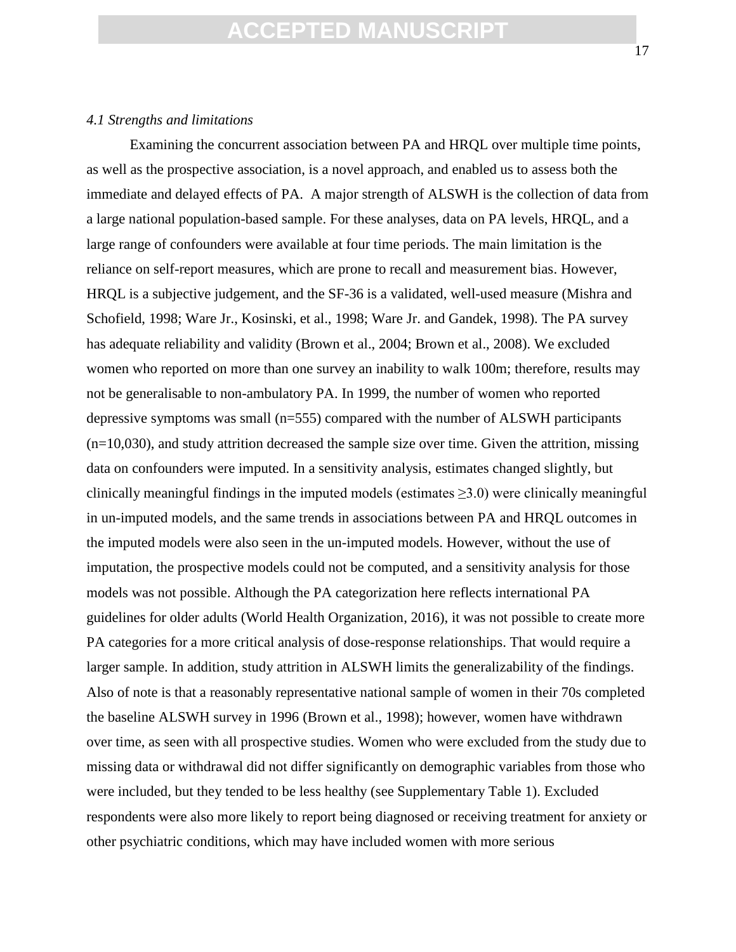#### *4.1 Strengths and limitations*

Examining the concurrent association between PA and HRQL over multiple time points, as well as the prospective association, is a novel approach, and enabled us to assess both the immediate and delayed effects of PA. A major strength of ALSWH is the collection of data from a large national population-based sample. For these analyses, data on PA levels, HRQL, and a large range of confounders were available at four time periods. The main limitation is the reliance on self-report measures, which are prone to recall and measurement bias. However, HRQL is a subjective judgement, and the SF-36 is a validated, well-used measure (Mishra and Schofield, 1998; Ware Jr., Kosinski, et al., 1998; Ware Jr. and Gandek, 1998). The PA survey has adequate reliability and validity (Brown et al., 2004; Brown et al., 2008). We excluded women who reported on more than one survey an inability to walk 100m; therefore, results may not be generalisable to non-ambulatory PA. In 1999, the number of women who reported depressive symptoms was small (n=555) compared with the number of ALSWH participants  $(n=10,030)$ , and study attrition decreased the sample size over time. Given the attrition, missing data on confounders were imputed. In a sensitivity analysis, estimates changed slightly, but clinically meaningful findings in the imputed models (estimates  $\geq 3.0$ ) were clinically meaningful in un-imputed models, and the same trends in associations between PA and HRQL outcomes in the imputed models were also seen in the un-imputed models. However, without the use of imputation, the prospective models could not be computed, and a sensitivity analysis for those models was not possible. Although the PA categorization here reflects international PA guidelines for older adults (World Health Organization, 2016), it was not possible to create more PA categories for a more critical analysis of dose-response relationships. That would require a larger sample. In addition, study attrition in ALSWH limits the generalizability of the findings. Also of note is that a reasonably representative national sample of women in their 70s completed the baseline ALSWH survey in 1996 (Brown et al., 1998); however, women have withdrawn over time, as seen with all prospective studies. Women who were excluded from the study due to missing data or withdrawal did not differ significantly on demographic variables from those who were included, but they tended to be less healthy (see Supplementary Table 1). Excluded respondents were also more likely to report being diagnosed or receiving treatment for anxiety or other psychiatric conditions, which may have included women with more serious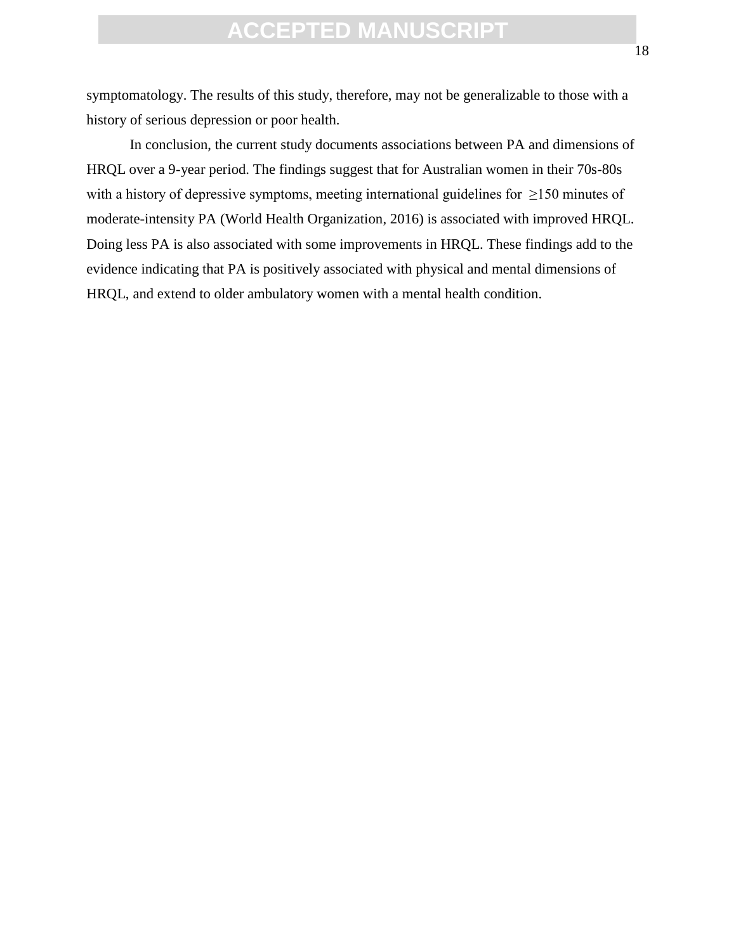symptomatology. The results of this study, therefore, may not be generalizable to those with a history of serious depression or poor health.

In conclusion, the current study documents associations between PA and dimensions of HRQL over a 9-year period. The findings suggest that for Australian women in their 70s-80s with a history of depressive symptoms, meeting international guidelines for ≥150 minutes of moderate-intensity PA (World Health Organization, 2016) is associated with improved HRQL. Doing less PA is also associated with some improvements in HRQL. These findings add to the evidence indicating that PA is positively associated with physical and mental dimensions of HRQL, and extend to older ambulatory women with a mental health condition.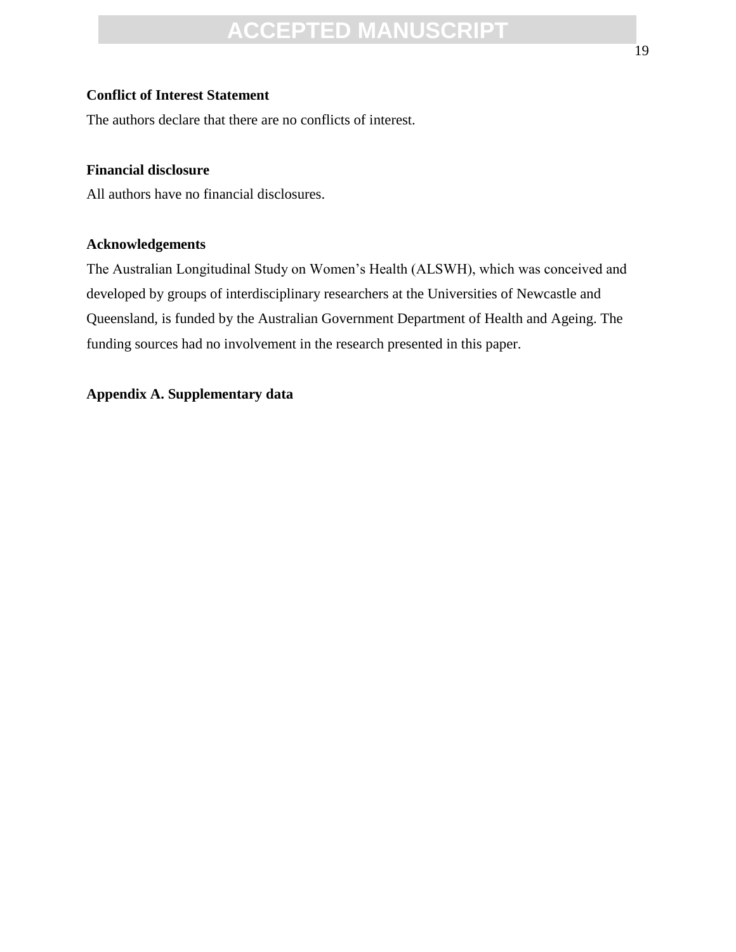### **Conflict of Interest Statement**

The authors declare that there are no conflicts of interest.

### **Financial disclosure**

All authors have no financial disclosures.

### **Acknowledgements**

The Australian Longitudinal Study on Women's Health (ALSWH), which was conceived and developed by groups of interdisciplinary researchers at the Universities of Newcastle and Queensland, is funded by the Australian Government Department of Health and Ageing. The funding sources had no involvement in the research presented in this paper.

### **Appendix A. Supplementary data**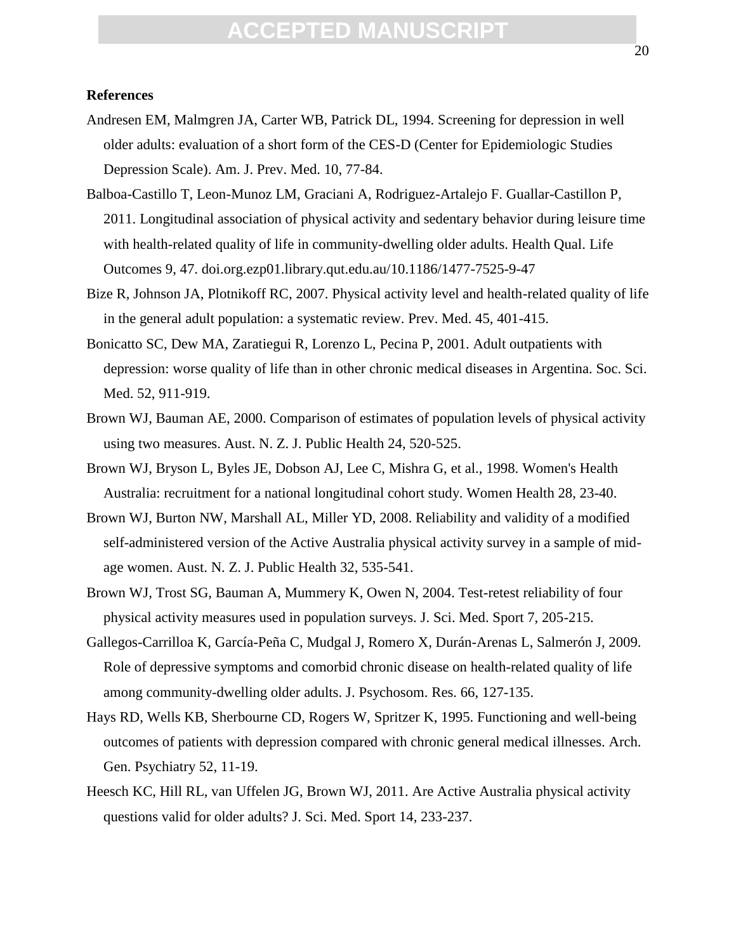### **References**

- Andresen EM, Malmgren JA, Carter WB, Patrick DL, 1994. Screening for depression in well older adults: evaluation of a short form of the CES-D (Center for Epidemiologic Studies Depression Scale). Am. J. Prev. Med. 10, 77-84.
- Balboa-Castillo T, Leon-Munoz LM, Graciani A, Rodriguez-Artalejo F. Guallar-Castillon P, 2011. Longitudinal association of physical activity and sedentary behavior during leisure time with health-related quality of life in community-dwelling older adults. Health Qual. Life Outcomes 9, 47. doi.org.ezp01.library.qut.edu.au/10.1186/1477-7525-9-47
- Bize R, Johnson JA, Plotnikoff RC, 2007. Physical activity level and health-related quality of life in the general adult population: a systematic review. Prev. Med. 45, 401-415.
- Bonicatto SC, Dew MA, Zaratiegui R, Lorenzo L, Pecina P, 2001. Adult outpatients with depression: worse quality of life than in other chronic medical diseases in Argentina. Soc. Sci. Med. 52, 911-919.
- Brown WJ, Bauman AE, 2000. Comparison of estimates of population levels of physical activity using two measures. Aust. N. Z. J. Public Health 24, 520-525.
- Brown WJ, Bryson L, Byles JE, Dobson AJ, Lee C, Mishra G, et al., 1998. Women's Health Australia: recruitment for a national longitudinal cohort study. Women Health 28, 23-40.
- Brown WJ, Burton NW, Marshall AL, Miller YD, 2008. Reliability and validity of a modified self-administered version of the Active Australia physical activity survey in a sample of midage women. Aust. N. Z. J. Public Health 32, 535-541.
- Brown WJ, Trost SG, Bauman A, Mummery K, Owen N, 2004. Test-retest reliability of four physical activity measures used in population surveys. J. Sci. Med. Sport 7, 205-215.
- Gallegos-Carrilloa K, García-Peña C, Mudgal J, Romero X, Durán-Arenas L, Salmerón J, 2009. Role of depressive symptoms and comorbid chronic disease on health-related quality of life among community-dwelling older adults. J. Psychosom. Res. 66, 127-135.
- Hays RD, Wells KB, Sherbourne CD, Rogers W, Spritzer K, 1995. Functioning and well-being outcomes of patients with depression compared with chronic general medical illnesses. Arch. Gen. Psychiatry 52, 11-19.
- Heesch KC, Hill RL, van Uffelen JG, Brown WJ, 2011. Are Active Australia physical activity questions valid for older adults? J. Sci. Med. Sport 14, 233-237.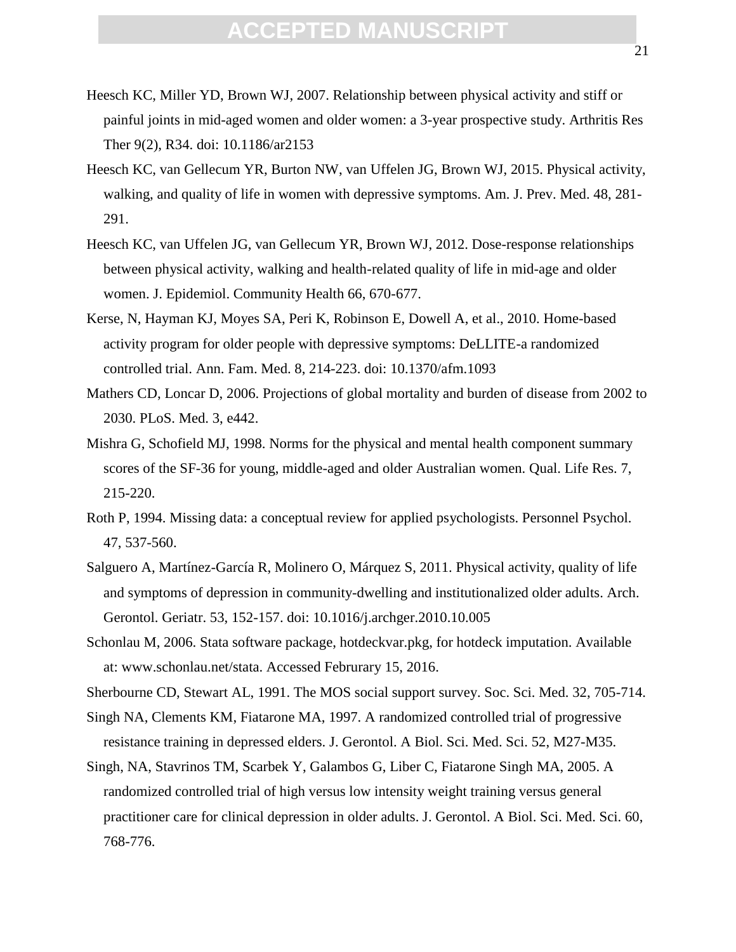- Heesch KC, Miller YD, Brown WJ, 2007. Relationship between physical activity and stiff or painful joints in mid-aged women and older women: a 3-year prospective study. Arthritis Res Ther 9(2), R34. doi: 10.1186/ar2153
- Heesch KC, van Gellecum YR, Burton NW, van Uffelen JG, Brown WJ, 2015. Physical activity, walking, and quality of life in women with depressive symptoms. Am. J. Prev. Med. 48, 281- 291.
- Heesch KC, van Uffelen JG, van Gellecum YR, Brown WJ, 2012. Dose-response relationships between physical activity, walking and health-related quality of life in mid-age and older women. J. Epidemiol. Community Health 66, 670-677.
- Kerse, N, Hayman KJ, Moyes SA, Peri K, Robinson E, Dowell A, et al., 2010. Home-based activity program for older people with depressive symptoms: DeLLITE-a randomized controlled trial. Ann. Fam. Med. 8, 214-223. doi: 10.1370/afm.1093
- Mathers CD, Loncar D, 2006. Projections of global mortality and burden of disease from 2002 to 2030. PLoS. Med. 3, e442.
- Mishra G, Schofield MJ, 1998. Norms for the physical and mental health component summary scores of the SF-36 for young, middle-aged and older Australian women. Qual. Life Res. 7, 215-220.
- Roth P, 1994. Missing data: a conceptual review for applied psychologists. Personnel Psychol. 47, 537-560.
- Salguero A, Martínez-García R, Molinero O, Márquez S, 2011. Physical activity, quality of life and symptoms of depression in community-dwelling and institutionalized older adults. Arch. Gerontol. Geriatr. 53, 152-157. doi: 10.1016/j.archger.2010.10.005
- Schonlau M, 2006. Stata software package, hotdeckvar.pkg, for hotdeck imputation. Available at: www.schonlau.net/stata. Accessed Februrary 15, 2016.
- Sherbourne CD, Stewart AL, 1991. The MOS social support survey. Soc. Sci. Med. 32, 705-714.
- Singh NA, Clements KM, Fiatarone MA, 1997. A randomized controlled trial of progressive resistance training in depressed elders. J. Gerontol. A Biol. Sci. Med. Sci. 52, M27-M35.
- Singh, NA, Stavrinos TM, Scarbek Y, Galambos G, Liber C, Fiatarone Singh MA, 2005. A randomized controlled trial of high versus low intensity weight training versus general practitioner care for clinical depression in older adults. J. Gerontol. A Biol. Sci. Med. Sci. 60, 768-776.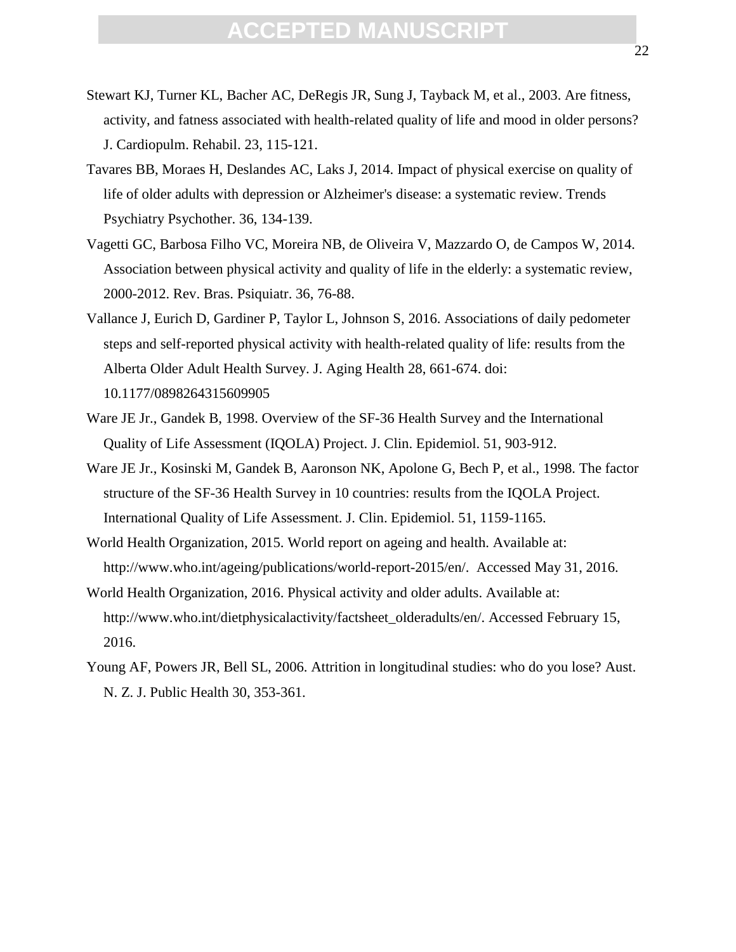- Stewart KJ, Turner KL, Bacher AC, DeRegis JR, Sung J, Tayback M, et al., 2003. Are fitness, activity, and fatness associated with health-related quality of life and mood in older persons? J. Cardiopulm. Rehabil. 23, 115-121.
- Tavares BB, Moraes H, Deslandes AC, Laks J, 2014. Impact of physical exercise on quality of life of older adults with depression or Alzheimer's disease: a systematic review. Trends Psychiatry Psychother. 36, 134-139.
- Vagetti GC, Barbosa Filho VC, Moreira NB, de Oliveira V, Mazzardo O, de Campos W, 2014. Association between physical activity and quality of life in the elderly: a systematic review, 2000-2012. Rev. Bras. Psiquiatr. 36, 76-88.
- Vallance J, Eurich D, Gardiner P, Taylor L, Johnson S, 2016. Associations of daily pedometer steps and self-reported physical activity with health-related quality of life: results from the Alberta Older Adult Health Survey. J. Aging Health 28, 661-674. doi: 10.1177/0898264315609905
- Ware JE Jr., Gandek B, 1998. Overview of the SF-36 Health Survey and the International Quality of Life Assessment (IQOLA) Project. J. Clin. Epidemiol. 51, 903-912.
- Ware JE Jr., Kosinski M, Gandek B, Aaronson NK, Apolone G, Bech P, et al., 1998. The factor structure of the SF-36 Health Survey in 10 countries: results from the IQOLA Project. International Quality of Life Assessment. J. Clin. Epidemiol. 51, 1159-1165.
- World Health Organization, 2015. World report on ageing and health. Available at: http://www.who.int/ageing/publications/world-report-2015/en/. Accessed May 31, 2016.
- World Health Organization, 2016. Physical activity and older adults. Available at: http://www.who.int/dietphysicalactivity/factsheet\_olderadults/en/. Accessed February 15, 2016.
- Young AF, Powers JR, Bell SL, 2006. Attrition in longitudinal studies: who do you lose? Aust. N. Z. J. Public Health 30, 353-361.